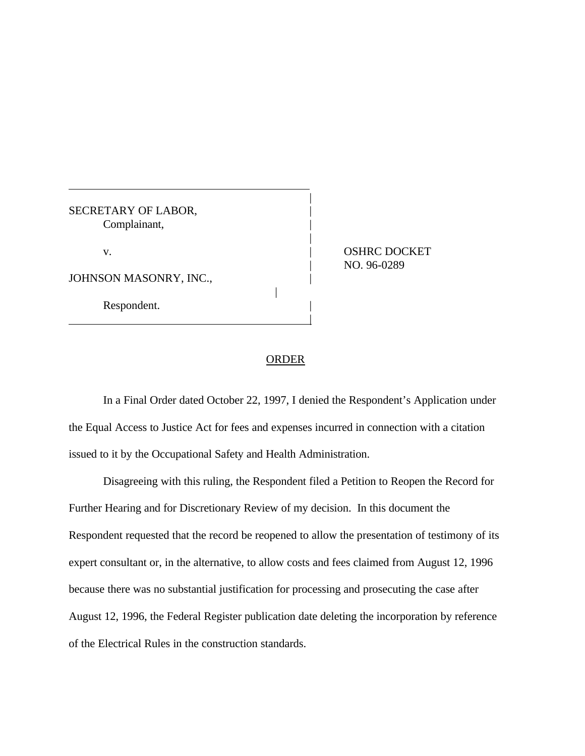SECRETARY OF LABOR, Complainant, | v. **IN OSHRC DOCKET** JOHNSON MASONRY, INC., | Respondent.

| NO. 96-0289

## ORDER

|

|

|

In a Final Order dated October 22, 1997, I denied the Respondent's Application under the Equal Access to Justice Act for fees and expenses incurred in connection with a citation issued to it by the Occupational Safety and Health Administration.

Disagreeing with this ruling, the Respondent filed a Petition to Reopen the Record for Further Hearing and for Discretionary Review of my decision. In this document the Respondent requested that the record be reopened to allow the presentation of testimony of its expert consultant or, in the alternative, to allow costs and fees claimed from August 12, 1996 because there was no substantial justification for processing and prosecuting the case after August 12, 1996, the Federal Register publication date deleting the incorporation by reference of the Electrical Rules in the construction standards.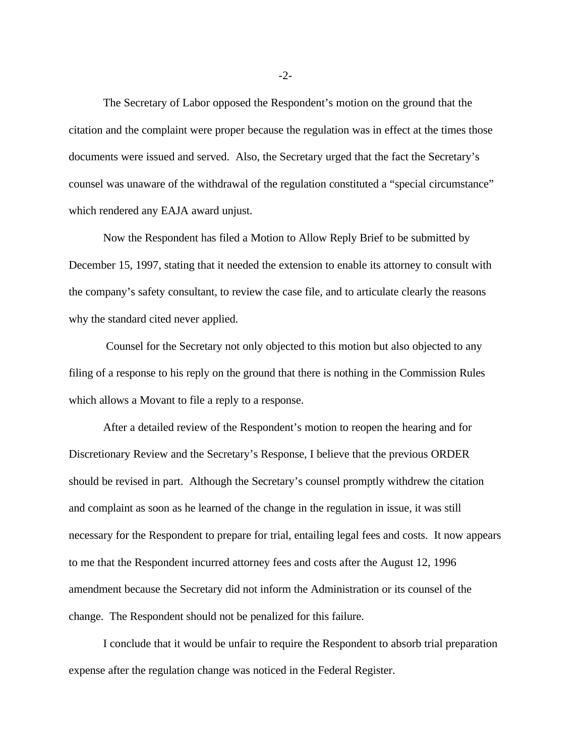The Secretary of Labor opposed the Respondent's motion on the ground that the citation and the complaint were proper because the regulation was in effect at the times those documents were issued and served. Also, the Secretary urged that the fact the Secretary's counsel was unaware of the withdrawal of the regulation constituted a "special circumstance" which rendered any EAJA award unjust.

Now the Respondent has filed a Motion to Allow Reply Brief to be submitted by December 15, 1997, stating that it needed the extension to enable its attorney to consult with the company's safety consultant, to review the case file, and to articulate clearly the reasons why the standard cited never applied.

 Counsel for the Secretary not only objected to this motion but also objected to any filing of a response to his reply on the ground that there is nothing in the Commission Rules which allows a Movant to file a reply to a response.

After a detailed review of the Respondent's motion to reopen the hearing and for Discretionary Review and the Secretary's Response, I believe that the previous ORDER should be revised in part. Although the Secretary's counsel promptly withdrew the citation and complaint as soon as he learned of the change in the regulation in issue, it was still necessary for the Respondent to prepare for trial, entailing legal fees and costs. It now appears to me that the Respondent incurred attorney fees and costs after the August 12, 1996 amendment because the Secretary did not inform the Administration or its counsel of the change. The Respondent should not be penalized for this failure.

I conclude that it would be unfair to require the Respondent to absorb trial preparation expense after the regulation change was noticed in the Federal Register.

-2-